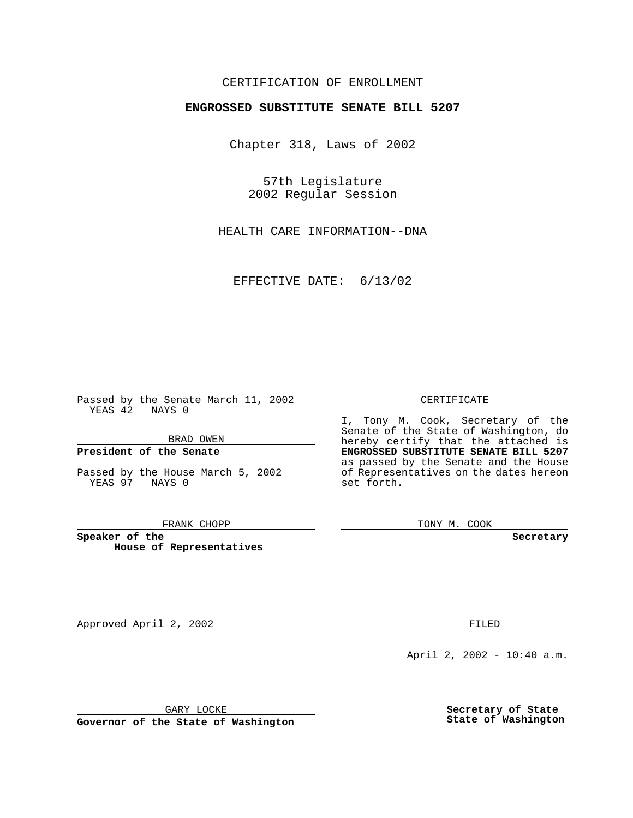# CERTIFICATION OF ENROLLMENT

# **ENGROSSED SUBSTITUTE SENATE BILL 5207**

Chapter 318, Laws of 2002

57th Legislature 2002 Regular Session

HEALTH CARE INFORMATION--DNA

EFFECTIVE DATE: 6/13/02

Passed by the Senate March 11, 2002 YEAS 42 NAYS 0

BRAD OWEN

### **President of the Senate**

Passed by the House March 5, 2002 YEAS 97 NAYS 0

#### FRANK CHOPP

**Speaker of the House of Representatives** CERTIFICATE

I, Tony M. Cook, Secretary of the Senate of the State of Washington, do hereby certify that the attached is **ENGROSSED SUBSTITUTE SENATE BILL 5207** as passed by the Senate and the House of Representatives on the dates hereon set forth.

TONY M. COOK

**Secretary**

Approved April 2, 2002 **FILED** 

April 2, 2002 - 10:40 a.m.

GARY LOCKE

**Governor of the State of Washington**

**Secretary of State State of Washington**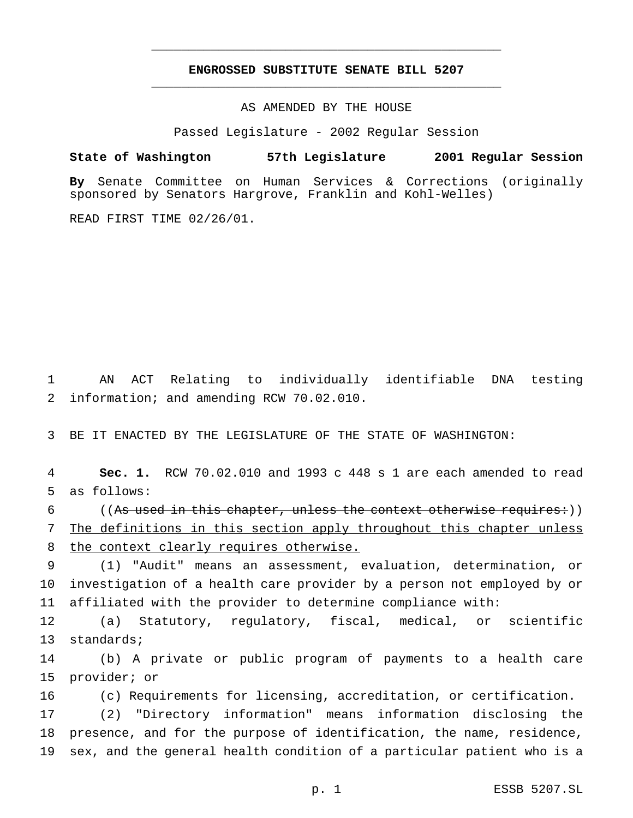# **ENGROSSED SUBSTITUTE SENATE BILL 5207** \_\_\_\_\_\_\_\_\_\_\_\_\_\_\_\_\_\_\_\_\_\_\_\_\_\_\_\_\_\_\_\_\_\_\_\_\_\_\_\_\_\_\_\_\_\_\_

\_\_\_\_\_\_\_\_\_\_\_\_\_\_\_\_\_\_\_\_\_\_\_\_\_\_\_\_\_\_\_\_\_\_\_\_\_\_\_\_\_\_\_\_\_\_\_

AS AMENDED BY THE HOUSE

Passed Legislature - 2002 Regular Session

**State of Washington 57th Legislature 2001 Regular Session**

**By** Senate Committee on Human Services & Corrections (originally sponsored by Senators Hargrove, Franklin and Kohl-Welles)

READ FIRST TIME 02/26/01.

 AN ACT Relating to individually identifiable DNA testing information; and amending RCW 70.02.010.

BE IT ENACTED BY THE LEGISLATURE OF THE STATE OF WASHINGTON:

 **Sec. 1.** RCW 70.02.010 and 1993 c 448 s 1 are each amended to read as follows:

6 ((As used in this chapter, unless the context otherwise requires:)) The definitions in this section apply throughout this chapter unless the context clearly requires otherwise.

 (1) "Audit" means an assessment, evaluation, determination, or investigation of a health care provider by a person not employed by or affiliated with the provider to determine compliance with:

 (a) Statutory, regulatory, fiscal, medical, or scientific standards;

 (b) A private or public program of payments to a health care provider; or

(c) Requirements for licensing, accreditation, or certification.

 (2) "Directory information" means information disclosing the presence, and for the purpose of identification, the name, residence, sex, and the general health condition of a particular patient who is a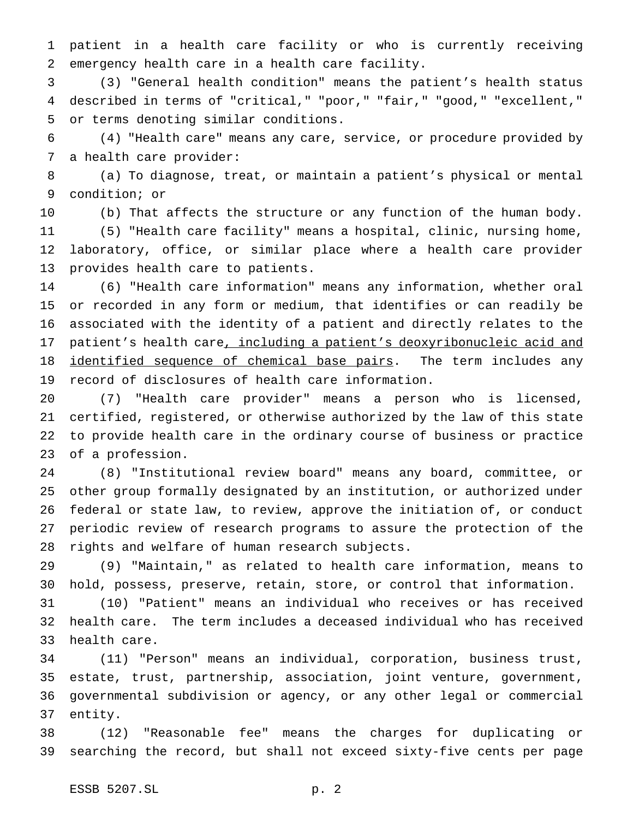patient in a health care facility or who is currently receiving emergency health care in a health care facility.

 (3) "General health condition" means the patient's health status described in terms of "critical," "poor," "fair," "good," "excellent," or terms denoting similar conditions.

 (4) "Health care" means any care, service, or procedure provided by a health care provider:

 (a) To diagnose, treat, or maintain a patient's physical or mental condition; or

 (b) That affects the structure or any function of the human body. (5) "Health care facility" means a hospital, clinic, nursing home, laboratory, office, or similar place where a health care provider provides health care to patients.

 (6) "Health care information" means any information, whether oral or recorded in any form or medium, that identifies or can readily be associated with the identity of a patient and directly relates to the 17 patient's health care, including a patient's deoxyribonucleic acid and 18 identified sequence of chemical base pairs. The term includes any record of disclosures of health care information.

 (7) "Health care provider" means a person who is licensed, certified, registered, or otherwise authorized by the law of this state to provide health care in the ordinary course of business or practice of a profession.

 (8) "Institutional review board" means any board, committee, or other group formally designated by an institution, or authorized under federal or state law, to review, approve the initiation of, or conduct periodic review of research programs to assure the protection of the rights and welfare of human research subjects.

 (9) "Maintain," as related to health care information, means to hold, possess, preserve, retain, store, or control that information.

 (10) "Patient" means an individual who receives or has received health care. The term includes a deceased individual who has received health care.

 (11) "Person" means an individual, corporation, business trust, estate, trust, partnership, association, joint venture, government, governmental subdivision or agency, or any other legal or commercial entity.

 (12) "Reasonable fee" means the charges for duplicating or searching the record, but shall not exceed sixty-five cents per page